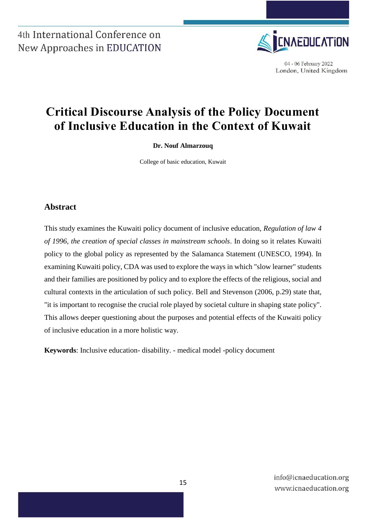

04 - 06 February 2022 London, United Kingdom

# **Critical Discourse Analysis of the Policy Document of Inclusive Education in the Context of Kuwait**

#### **Dr. Nouf Almarzouq**

College of basic education, Kuwait

### **Abstract**

This study examines the Kuwaiti policy document of inclusive education, *Regulation of law 4 of 1996, the creation of special classes in mainstream schools*. In doing so it relates Kuwaiti policy to the global policy as represented by the Salamanca Statement (UNESCO, 1994). In examining Kuwaiti policy, CDA was used to explore the ways in which "slow learner" students and their families are positioned by policy and to explore the effects of the religious, social and cultural contexts in the articulation of such policy. Bell and Stevenson (2006, p.29) state that, "it is important to recognise the crucial role played by societal culture in shaping state policy". This allows deeper questioning about the purposes and potential effects of the Kuwaiti policy of inclusive education in a more holistic way.

**Keywords**: Inclusive education- disability. - medical model -policy document

info@icnaeducation.org www.icnaeducation.org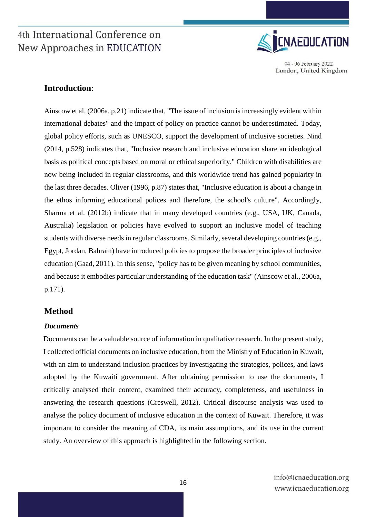

04 - 06 February 2022 London, United Kingdom

### **Introduction**:

Ainscow et al. (2006a, p.21) indicate that, "The issue of inclusion is increasingly evident within international debates" and the impact of policy on practice cannot be underestimated. Today, global policy efforts, such as UNESCO, support the development of inclusive societies. Nind (2014, p.528) indicates that, "Inclusive research and inclusive education share an ideological basis as political concepts based on moral or ethical superiority." Children with disabilities are now being included in regular classrooms, and this worldwide trend has gained popularity in the last three decades. Oliver (1996, p.87) states that, "Inclusive education is about a change in the ethos informing educational polices and therefore, the school's culture". Accordingly, Sharma et al. (2012b) indicate that in many developed countries (e.g., USA, UK, Canada, Australia) legislation or policies have evolved to support an inclusive model of teaching students with diverse needs in regular classrooms. Similarly, several developing countries (e.g., Egypt, Jordan, Bahrain) have introduced policies to propose the broader principles of inclusive education (Gaad, 2011). In this sense, "policy has to be given meaning by school communities, and because it embodies particular understanding of the education task" (Ainscow et al., 2006a, p.171).

#### **Method**

#### *Documents*

Documents can be a valuable source of information in qualitative research. In the present study, I collected official documents on inclusive education, from the Ministry of Education in Kuwait, with an aim to understand inclusion practices by investigating the strategies, polices, and laws adopted by the Kuwaiti government. After obtaining permission to use the documents, I critically analysed their content, examined their accuracy, completeness, and usefulness in answering the research questions (Creswell, 2012). Critical discourse analysis was used to analyse the policy document of inclusive education in the context of Kuwait. Therefore, it was important to consider the meaning of CDA, its main assumptions, and its use in the current study. An overview of this approach is highlighted in the following section.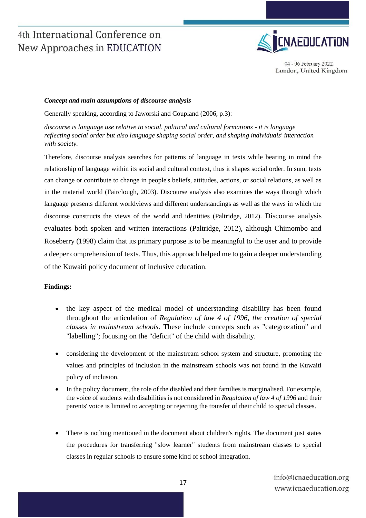

04 - 06 February 2022 London, United Kingdom

#### *Concept and main assumptions of discourse analysis*

Generally speaking, according to Jaworski and Coupland (2006, p.3):

*discourse is language use relative to social, political and cultural formations - it is language reflecting social order but also language shaping social order, and shaping individuals' interaction with society.* 

Therefore, discourse analysis searches for patterns of language in texts while bearing in mind the relationship of language within its social and cultural context, thus it shapes social order. In sum, texts can change or contribute to change in people's beliefs, attitudes, actions, or social relations, as well as in the material world (Fairclough, 2003). Discourse analysis also examines the ways through which language presents different worldviews and different understandings as well as the ways in which the discourse constructs the views of the world and identities (Paltridge, 2012). Discourse analysis evaluates both spoken and written interactions (Paltridge, 2012), although Chimombo and Roseberry (1998) claim that its primary purpose is to be meaningful to the user and to provide a deeper comprehension of texts. Thus, this approach helped me to gain a deeper understanding of the Kuwaiti policy document of inclusive education.

#### **Findings:**

- the key aspect of the medical model of understanding disability has been found throughout the articulation of *Regulation of law 4 of 1996, the creation of special classes in mainstream schools*. These include concepts such as "categrozation" and "labelling"; focusing on the "deficit" of the child with disability.
- considering the development of the mainstream school system and structure, promoting the values and principles of inclusion in the mainstream schools was not found in the Kuwaiti policy of inclusion.
- In the policy document, the role of the disabled and their families is marginalised. For example, the voice of students with disabilities is not considered in *Regulation of law 4 of 1996* and their parents' voice is limited to accepting or rejecting the transfer of their child to special classes.
- There is nothing mentioned in the document about children's rights. The document just states the procedures for transferring "slow learner" students from mainstream classes to special classes in regular schools to ensure some kind of school integration.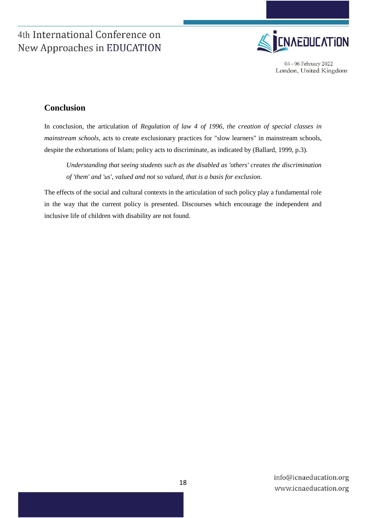

04 - 06 February 2022 London, United Kingdom

### **Conclusion**

In conclusion, the articulation of *Regulation of law 4 of 1996, the creation of special classes in mainstream schools*, acts to create exclusionary practices for "slow learners" in mainstream schools, despite the exhortations of Islam; policy acts to discriminate, as indicated by (Ballard, 1999, p.3).

*Understanding that seeing students such as the disabled as 'others' creates the discrimination of 'them' and 'us', valued and not so valued, that is a basis for exclusion.* 

The effects of the social and cultural contexts in the articulation of such policy play a fundamental role in the way that the current policy is presented. Discourses which encourage the independent and inclusive life of children with disability are not found.